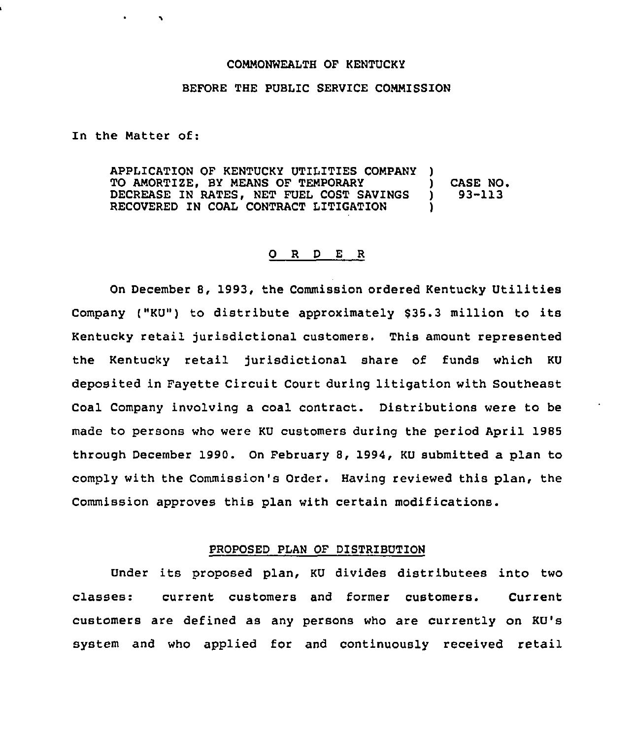### COMMONWEALTH OF KENTUCKY

# BEFORE THE PUBLIC SERVICE COMMISSION

In the Matter of:

APPLICATION OF KENTUCKY UTILITIES COMPANY ) TO AMORTIZE, BY MEANS OF TEMPORARY (CASE NO.<br>DECREASE IN RATES, NET FUEL COST SAVINGS (193-113) DECREASE IN RATES, NET FUEL COST SAVINGS RECOVERED IN COAL CONTRACT LITIGATION )

### 0 <sup>R</sup> <sup>D</sup> <sup>E</sup> <sup>R</sup>

On December 8, 1993, the Commission ordered Kentucky Utilities Company ("KU") to distribute approximately \$35.3 million to its Kentucky retail jurisdictional customers. This amount represented the Kentucky retail jurisdictional share of funds which KU deposited in Fayette Circuit Court during litigation with Southeast Coal Company involving a coal contract. Distributions were to be made to persons who were KU customers during the period April 1985 through December 1990. On February 8, 1994, KU submitted a plan to comply with the Commission's Order. Having reviewed this plan, the Commission approves this plan with certain modifications.

## PROPOSED PLAN OF DISTRIBUTION

Under its proposed plan, KU divides distributees into two classes: current customers and former customers. Current customers are defined as any persons who are currently on KU's system and who applied for and continuously received retail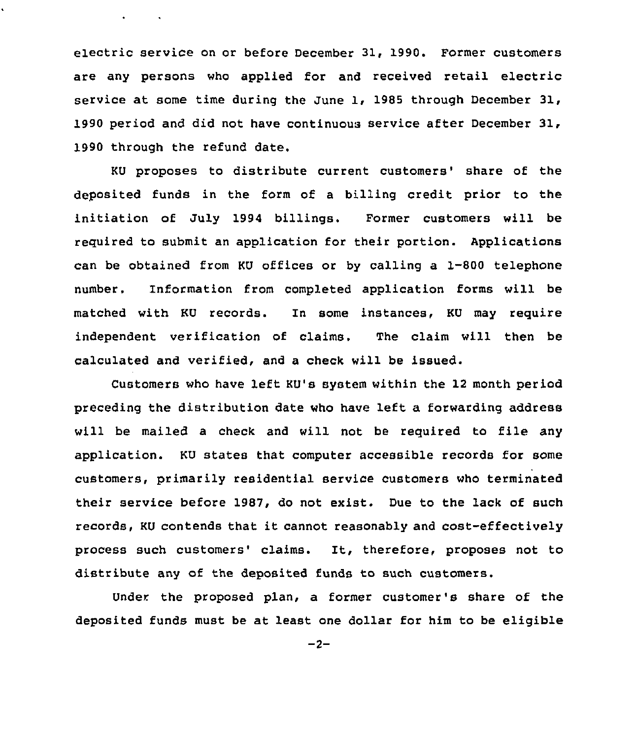electric service on or before December 31, 1990. Former customers are any persons who applied for and received retail electric service at some time during the June 1, 1985 through December 31, 1990 period and did not have continuous service after December 31, 1990 through the refund date.

 $\bullet$  . The second second  $\bullet$ 

KU proposes to distribute current customers' share of the deposited funds in the form of a billing credit prior to the initiation of July 1994 billings. Former customers will be required to submit an application for their portion. Applications can be obtained from KU offices or by calling a 1-800 telephone number. Information from completed application forms will be matched with KU records. In some instances, KU may require independent verification of claims. The claim will then be calculated and verified, and a check will be issued.

Customers who have left KU's system within the 12 month period preceding the distribution date who have left a forwarding address will be mailed <sup>a</sup> check and will not be required to file any application. KU states that computer accessible records for some customers, primarily residential service customers who terminated their service before 1987, do not exist. Due to the lack of such records, KU contends that it cannot reasonably and cost-effectively process such customers' claims. It, therefore, proposes not to distribute any of the deposited funds to such customers.

Under. the proposed plan, a former customer's share of the deposited funds must be at least one dollar for him to be eligible

 $-2-$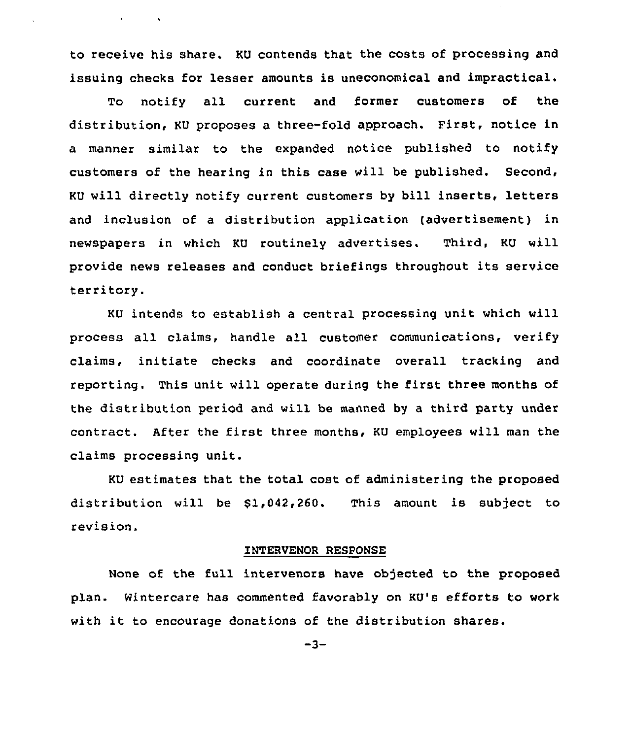to receive his share. KU contends that the costs of processing and issuing checks for lesser amounts is uneconomical and impractical.

 $\mathbf{v} = \mathbf{v} \times \mathbf{v}$  .

To notify all current and former customers of the distribution, KU proposes a three-fold approach. First, notice in a manner similar to the expanded notice published to notify customers of the hearing in this case will be published. Second, KU will directly notify current customers by bill inserts, letters and inclusion of a distribution application (advertisement) in newspapers in which KU routinely advertises. Third, KU will provide news releases and conduct briefings throughout its service territory.

KU intends to establish a central processing unit which will process all claims, handle all customer communications, verify claims, initiate checks and coordinate overall tracking and reporting. This unit will operate during the first three months of the distribution period and will be manned by a third party under contract. After the first three months, KU employees will man the claims processing unit.

KU estimates that the total cost of administering the proposed distribution will be S1,042,260. This amount is subject to revision.

#### INTERVENOR RESPONSE

None of the full intervenors have objected to the proposed plan. Nintercare has commented favorably on KU's efforts to work with it to encourage donations of the distribution shares.

 $-3-$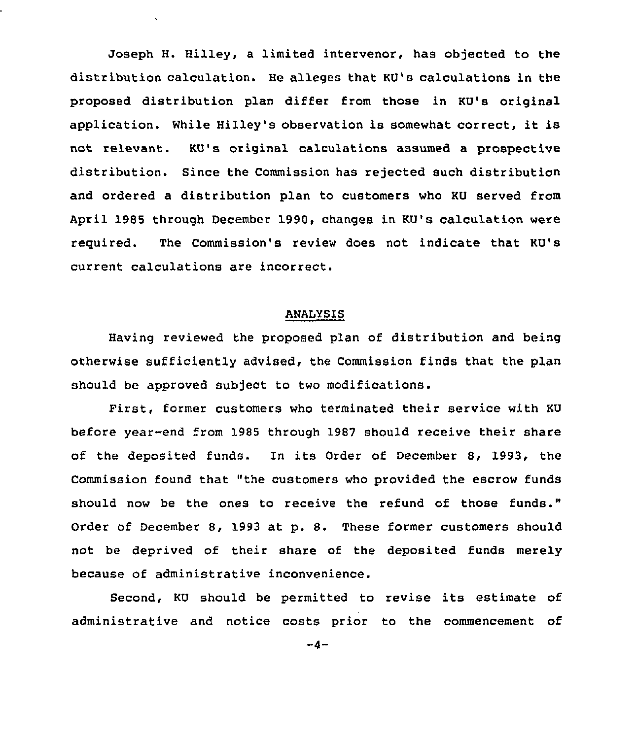Joseph H. Hilley, a limited intervenor, has objected to the distribution calculation. He alleges that KU's calculations in the proposed distribution plan differ from those in KU's original application. While Hilley's observation is somewhat correct, it is not relevant. KU's original calculations assumed a prospective distribution. Since the Commission has rejected such distribution and ordered a distribution plan to customers who KU served from April 1985 through December 1990, changes in KU's calculation were required. The Commission's review does not indicate that KU's current calculations are incorrect.

# ANALYSIS

Having reviewed the proposed plan of distribution and being otherwise sufficiently advised, the Commission finds that the plan should be approved subject to two modifications.

First, former customers who terminated their service with KU before year-end from 1985 through 1987 should receive their share of the deposited funds. In its Order of December 8, 1993, the Commission found that "the customers who provided the escrow funds should now be the ones to receive the refund of those funds." Order of December 8, 1993 at p. 8. These former customers should not be deprived of their share of the deposited funds merely because of administrative inconvenience.

Second, KU should be permitted to revise its estimate of administrative and notice costs prior to the commencement of

 $-4-$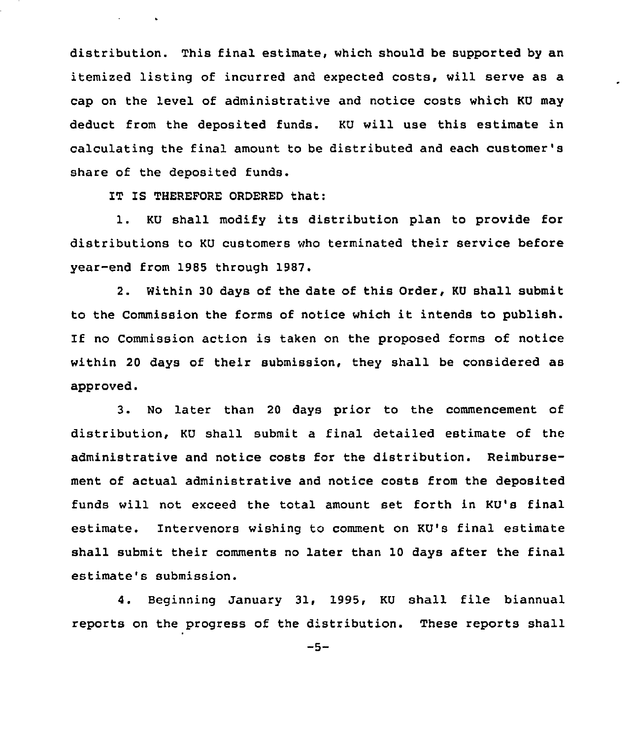distribution. This final estimate, which should be supported by an itemized listing of incurred and expected costs, will serve as a cap on the level of administrative and notice costs which KU may deduct from the deposited funds. KU will use this estimate in calculating the final amount to be distributed and each customer' share of the deposited funds.

IT IS THEREFORE ORDERED that:

**All Contract Card** 

1. KU shall modify its distribution plan to provide for distributions to KU customers who terminated their service before year-end from 1985 through 1987.

2. Within 30 days of the date of this Order, KU shall submit to the Commission the forms of notice which it intends to publish. If no Commission action is taken on the proposed forms of notice within 20 days of their submission, they shall be considered as approved.

3. No later than <sup>20</sup> days prior to the commencement of distribution, KU shall submit a final detailed estimate of the administrative and notice costs for the distribution. Reimbursement of actual administrative and notice costs from the deposited funds will not exceed the total amount set fozth in KU's final estimate. Intervenors wishing to comment on KU's final estimate shall submit their comments no later than 10 days after the final estimate's submission.

4. Beginning January 31, 1995, KU shall file biannual reports on the progress of the distribution. These reports shall

 $-5-$